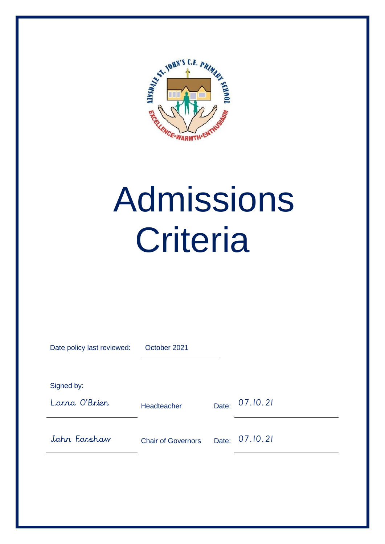

# Admissions **Criteria**

| Date policy last reviewed: | October 2021              |       |          |
|----------------------------|---------------------------|-------|----------|
|                            |                           |       |          |
| Signed by:                 |                           |       |          |
| Lorna O'Brier              | Headteacher               | Date: | 07.10.21 |
| John Forshaw               | <b>Chair of Governors</b> | Date: | 07.10.21 |
|                            |                           |       |          |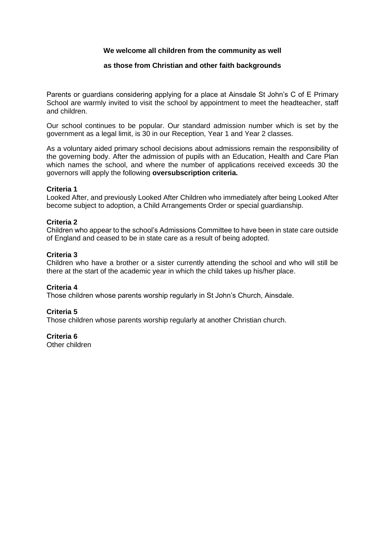# **We welcome all children from the community as well**

# **as those from Christian and other faith backgrounds**

Parents or guardians considering applying for a place at Ainsdale St John's C of E Primary School are warmly invited to visit the school by appointment to meet the headteacher, staff and children.

Our school continues to be popular. Our standard admission number which is set by the government as a legal limit, is 30 in our Reception, Year 1 and Year 2 classes.

As a voluntary aided primary school decisions about admissions remain the responsibility of the governing body. After the admission of pupils with an Education, Health and Care Plan which names the school, and where the number of applications received exceeds 30 the governors will apply the following **oversubscription criteria.**

# **Criteria 1**

Looked After, and previously Looked After Children who immediately after being Looked After become subject to adoption, a Child Arrangements Order or special guardianship.

# **Criteria 2**

Children who appear to the school's Admissions Committee to have been in state care outside of England and ceased to be in state care as a result of being adopted.

# **Criteria 3**

Children who have a brother or a sister currently attending the school and who will still be there at the start of the academic year in which the child takes up his/her place.

# **Criteria 4**

Those children whose parents worship regularly in St John's Church, Ainsdale.

# **Criteria 5**

Those children whose parents worship regularly at another Christian church.

# **Criteria 6**

Other children